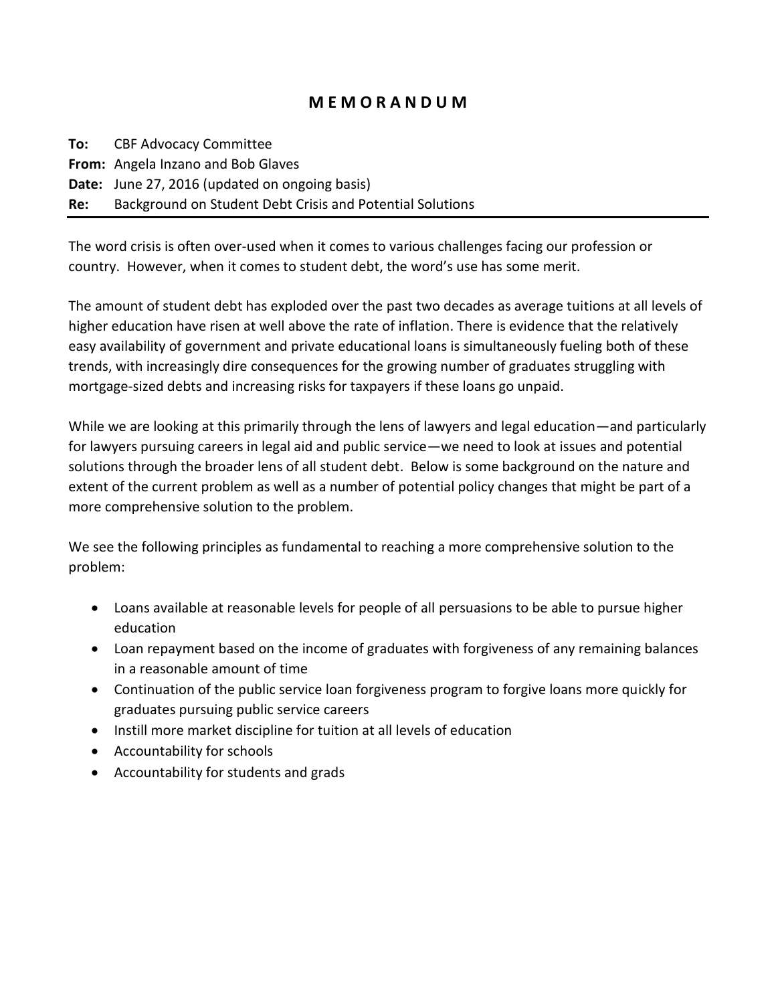## **M E M O R A N D U M**

**To:** CBF Advocacy Committee **From:** Angela Inzano and Bob Glaves **Date:** June 27, 2016 (updated on ongoing basis) **Re:** Background on Student Debt Crisis and Potential Solutions

The word crisis is often over-used when it comes to various challenges facing our profession or country. However, when it comes to student debt, the word's use has some merit.

The amount of student debt has exploded over the past two decades as average tuitions at all levels of higher education have risen at well above the rate of inflation. There is evidence that the relatively easy availability of government and private educational loans is simultaneously fueling both of these trends, with increasingly dire consequences for the growing number of graduates struggling with mortgage-sized debts and increasing risks for taxpayers if these loans go unpaid.

While we are looking at this primarily through the lens of lawyers and legal education—and particularly for lawyers pursuing careers in legal aid and public service—we need to look at issues and potential solutions through the broader lens of all student debt. Below is some background on the nature and extent of the current problem as well as a number of potential policy changes that might be part of a more comprehensive solution to the problem.

We see the following principles as fundamental to reaching a more comprehensive solution to the problem:

- Loans available at reasonable levels for people of all persuasions to be able to pursue higher education
- Loan repayment based on the income of graduates with forgiveness of any remaining balances in a reasonable amount of time
- Continuation of the public service loan forgiveness program to forgive loans more quickly for graduates pursuing public service careers
- Instill more market discipline for tuition at all levels of education
- Accountability for schools
- Accountability for students and grads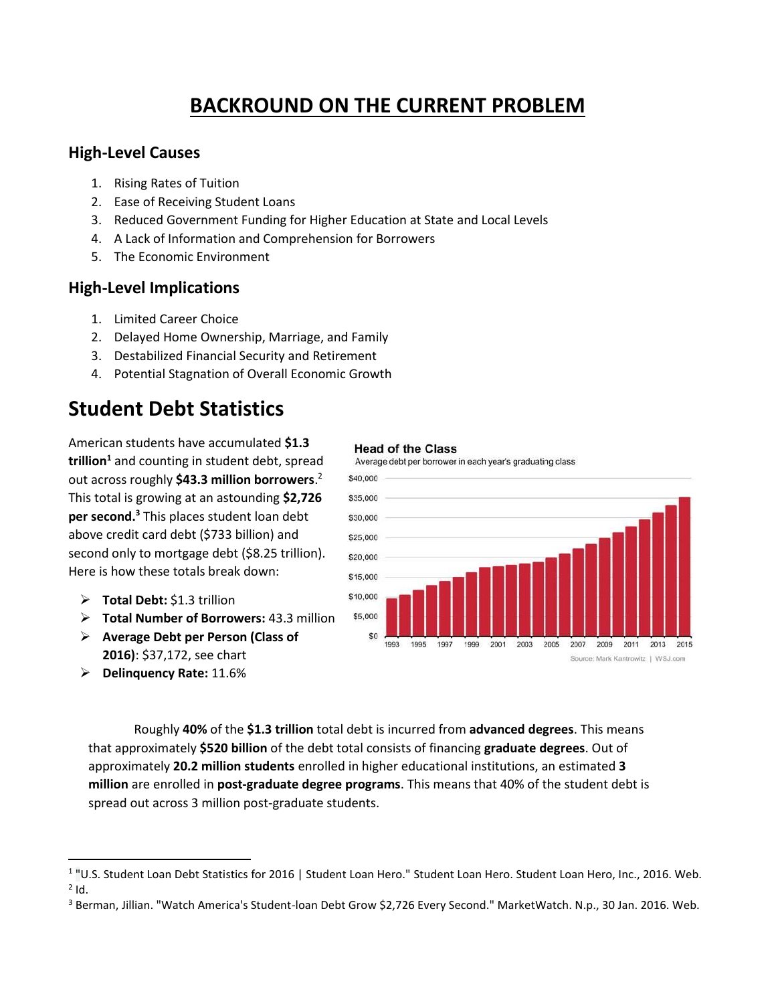# **BACKROUND ON THE CURRENT PROBLEM**

### **High-Level Causes**

- 1. Rising Rates of Tuition
- 2. Ease of Receiving Student Loans
- 3. Reduced Government Funding for Higher Education at State and Local Levels
- 4. A Lack of Information and Comprehension for Borrowers
- 5. The Economic Environment

## **High-Level Implications**

- 1. Limited Career Choice
- 2. Delayed Home Ownership, Marriage, and Family
- 3. Destabilized Financial Security and Retirement
- 4. Potential Stagnation of Overall Economic Growth

# **Student Debt Statistics**

American students have accumulated **\$1.3 trillion<sup>1</sup>** and counting in student debt, spread out across roughly **\$43.3 million borrowers**. 2 This total is growing at an astounding **\$2,726 per second. <sup>3</sup>** This places student loan debt above credit card debt (\$733 billion) and second only to mortgage debt (\$8.25 trillion). Here is how these totals break down:

- **Total Debt:** \$1.3 trillion
- **Total Number of Borrowers:** 43.3 million
- **Average Debt per Person (Class of 2016)**: \$37,172, see chart
- **Delinquency Rate:** 11.6%

 $\overline{\phantom{a}}$ 

#### **Head of the Class**





Roughly **40%** of the **\$1.3 trillion** total debt is incurred from **advanced degrees**. This means that approximately **\$520 billion** of the debt total consists of financing **graduate degrees**. Out of approximately **20.2 million students** enrolled in higher educational institutions, an estimated **3 million** are enrolled in **post-graduate degree programs**. This means that 40% of the student debt is spread out across 3 million post-graduate students.

<sup>&</sup>lt;sup>1</sup> "U.S. Student Loan Debt Statistics for 2016 | Student Loan Hero." Student Loan Hero. Student Loan Hero, Inc., 2016. Web.  $2$  Id.

<sup>&</sup>lt;sup>3</sup> Berman, Jillian. "Watch America's Student-loan Debt Grow \$2,726 Every Second." MarketWatch. N.p., 30 Jan. 2016. Web.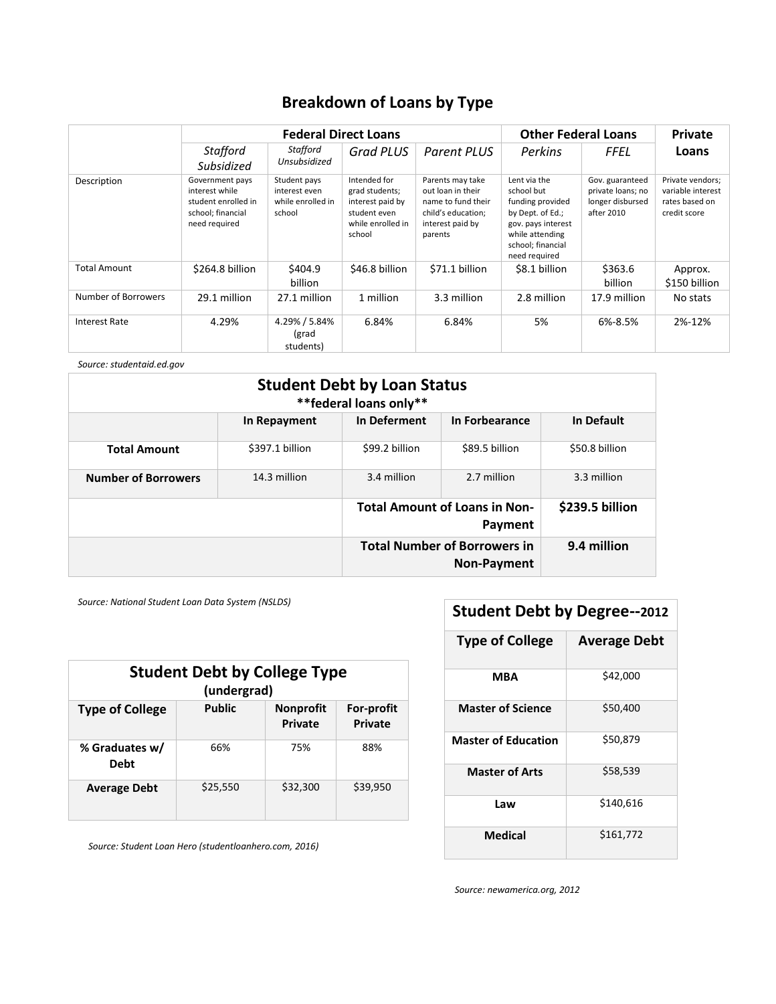## **Breakdown of Loans by Type**

|                      | <b>Federal Direct Loans</b>                                                                    |                                                              |                                                                                                   | <b>Other Federal Loans</b>                                                                                       |                                                                                                                                                   | Private                                                                |                                                                         |
|----------------------|------------------------------------------------------------------------------------------------|--------------------------------------------------------------|---------------------------------------------------------------------------------------------------|------------------------------------------------------------------------------------------------------------------|---------------------------------------------------------------------------------------------------------------------------------------------------|------------------------------------------------------------------------|-------------------------------------------------------------------------|
|                      | Stafford<br>Subsidized                                                                         | Stafford<br>Unsubsidized                                     | <b>Grad PLUS</b>                                                                                  | Parent PLUS                                                                                                      | Perkins                                                                                                                                           | FFEL                                                                   | Loans                                                                   |
| Description          | Government pays<br>interest while<br>student enrolled in<br>school; financial<br>need required | Student pays<br>interest even<br>while enrolled in<br>school | Intended for<br>grad students;<br>interest paid by<br>student even<br>while enrolled in<br>school | Parents may take<br>out loan in their<br>name to fund their<br>child's education;<br>interest paid by<br>parents | Lent via the<br>school but<br>funding provided<br>by Dept. of Ed.;<br>gov. pays interest<br>while attending<br>school; financial<br>need required | Gov. guaranteed<br>private loans; no<br>longer disbursed<br>after 2010 | Private vendors;<br>variable interest<br>rates based on<br>credit score |
| Total Amount         | \$264.8 billion                                                                                | \$404.9<br>billion                                           | \$46.8 billion                                                                                    | \$71.1 billion                                                                                                   | \$8.1 billion                                                                                                                                     | \$363.6<br>billion                                                     | Approx.<br>\$150 billion                                                |
| Number of Borrowers  | 29.1 million                                                                                   | 27.1 million                                                 | 1 million                                                                                         | 3.3 million                                                                                                      | 2.8 million                                                                                                                                       | 17.9 million                                                           | No stats                                                                |
| <b>Interest Rate</b> | 4.29%                                                                                          | 4.29% / 5.84%<br>(grad<br>students)                          | 6.84%                                                                                             | 6.84%                                                                                                            | 5%                                                                                                                                                | 6%-8.5%                                                                | 2%-12%                                                                  |

*Source: studentaid.ed.gov*

| <b>Student Debt by Loan Status</b><br>** federal loans only** |                 |                                                    |                |                 |
|---------------------------------------------------------------|-----------------|----------------------------------------------------|----------------|-----------------|
|                                                               | In Repayment    | In Deferment                                       | In Forbearance | In Default      |
| <b>Total Amount</b>                                           | \$397.1 billion | \$99.2 billion                                     | \$89.5 billion | \$50.8 billion  |
| <b>Number of Borrowers</b>                                    | 14.3 million    | 3.4 million                                        | 2.7 million    | 3.3 million     |
|                                                               |                 | <b>Total Amount of Loans in Non-</b><br>Payment    |                | \$239.5 billion |
|                                                               |                 | <b>Total Number of Borrowers in</b><br>Non-Payment |                | 9.4 million     |

*Source: National Student Loan Data System (NSLDS)*

| <b>Student Debt by College Type</b><br>(undergrad) |               |                                    |                                     |
|----------------------------------------------------|---------------|------------------------------------|-------------------------------------|
| <b>Type of College</b>                             | <b>Public</b> | <b>Nonprofit</b><br><b>Private</b> | <b>For-profit</b><br><b>Private</b> |
| % Graduates w/<br><b>Debt</b>                      | 66%           | 75%                                | 88%                                 |
| <b>Average Debt</b>                                | \$25,550      | \$32,300                           | \$39,950                            |

*Source: Student Loan Hero (studentloanhero.com, 2016)*

# **Student Debt by Degree--2012**

| <b>Type of College</b>     | <b>Average Debt</b> |
|----------------------------|---------------------|
| MBA                        | \$42,000            |
| <b>Master of Science</b>   | \$50,400            |
| <b>Master of Education</b> | \$50,879            |
| <b>Master of Arts</b>      | \$58,539            |
| Law                        | \$140,616           |
| <b>Medical</b>             | \$161,772           |

*Source: newamerica.org, 2012*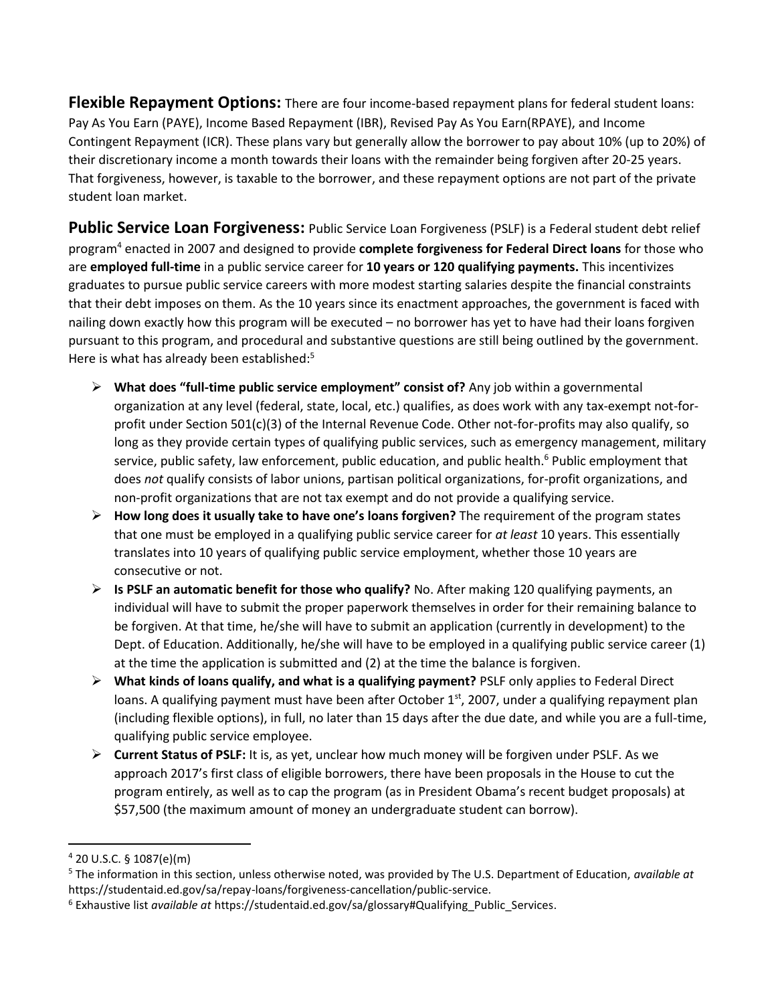**Flexible Repayment Options:** There are four income-based repayment plans for federal student loans: Pay As You Earn (PAYE), Income Based Repayment (IBR), Revised Pay As You Earn(RPAYE), and Income Contingent Repayment (ICR). These plans vary but generally allow the borrower to pay about 10% (up to 20%) of their discretionary income a month towards their loans with the remainder being forgiven after 20-25 years. That forgiveness, however, is taxable to the borrower, and these repayment options are not part of the private student loan market.

**Public Service Loan Forgiveness:** Public Service Loan Forgiveness (PSLF) is a Federal student debt relief program<sup>4</sup> enacted in 2007 and designed to provide **complete forgiveness for Federal Direct loans** for those who are **employed full-time** in a public service career for **10 years or 120 qualifying payments.** This incentivizes graduates to pursue public service careers with more modest starting salaries despite the financial constraints that their debt imposes on them. As the 10 years since its enactment approaches, the government is faced with nailing down exactly how this program will be executed – no borrower has yet to have had their loans forgiven pursuant to this program, and procedural and substantive questions are still being outlined by the government. Here is what has already been established:<sup>5</sup>

- **What does "full-time public service employment" consist of?** Any job within a governmental organization at any level (federal, state, local, etc.) qualifies, as does work with any tax-exempt not-forprofit under Section 501(c)(3) of the Internal Revenue Code. Other not-for-profits may also qualify, so long as they provide certain types of qualifying public services, such as emergency management, military service, public safety, law enforcement, public education, and public health.<sup>6</sup> Public employment that does *not* qualify consists of labor unions, partisan political organizations, for-profit organizations, and non-profit organizations that are not tax exempt and do not provide a qualifying service.
- **How long does it usually take to have one's loans forgiven?** The requirement of the program states that one must be employed in a qualifying public service career for *at least* 10 years. This essentially translates into 10 years of qualifying public service employment, whether those 10 years are consecutive or not.
- **Is PSLF an automatic benefit for those who qualify?** No. After making 120 qualifying payments, an individual will have to submit the proper paperwork themselves in order for their remaining balance to be forgiven. At that time, he/she will have to submit an application (currently in development) to the Dept. of Education. Additionally, he/she will have to be employed in a qualifying public service career (1) at the time the application is submitted and (2) at the time the balance is forgiven.
- **What kinds of loans qualify, and what is a qualifying payment?** PSLF only applies to Federal Direct loans. A qualifying payment must have been after October 1<sup>st</sup>, 2007, under a qualifying repayment plan (including flexible options), in full, no later than 15 days after the due date, and while you are a full-time, qualifying public service employee.
- **Current Status of PSLF:** It is, as yet, unclear how much money will be forgiven under PSLF. As we approach 2017's first class of eligible borrowers, there have been proposals in the House to cut the program entirely, as well as to cap the program (as in President Obama's recent budget proposals) at \$57,500 (the maximum amount of money an undergraduate student can borrow).

 $\overline{a}$ 

<sup>4</sup> 20 U.S.C. § 1087(e)(m)

<sup>5</sup> The information in this section, unless otherwise noted, was provided by The U.S. Department of Education, *available at* https://studentaid.ed.gov/sa/repay-loans/forgiveness-cancellation/public-service.

<sup>6</sup> Exhaustive list *available at* https://studentaid.ed.gov/sa/glossary#Qualifying\_Public\_Services.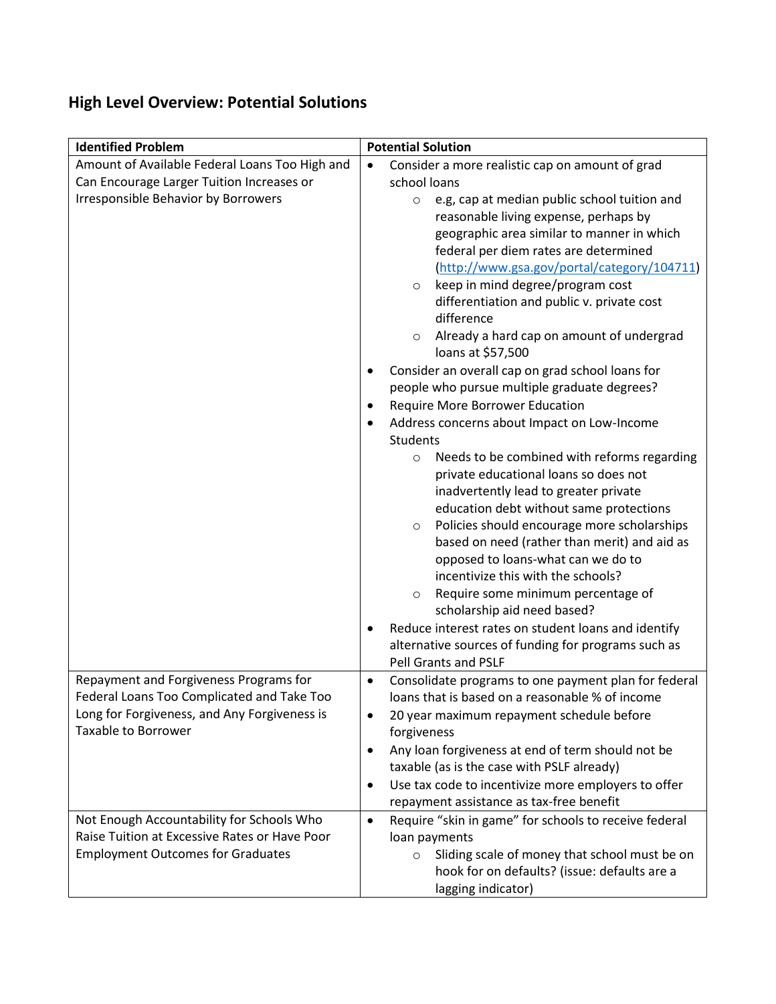# **High Level Overview: Potential Solutions**

| <b>Identified Problem</b>                                                                                                                                          | <b>Potential Solution</b>                                                                                                                                                                                                                                                                                                                                                                                                                                                                                                                                                                                                                                                                                                                                                                                                                                                                                                                                                                                                                                                                                                                                                                                                                                                                                                 |  |  |
|--------------------------------------------------------------------------------------------------------------------------------------------------------------------|---------------------------------------------------------------------------------------------------------------------------------------------------------------------------------------------------------------------------------------------------------------------------------------------------------------------------------------------------------------------------------------------------------------------------------------------------------------------------------------------------------------------------------------------------------------------------------------------------------------------------------------------------------------------------------------------------------------------------------------------------------------------------------------------------------------------------------------------------------------------------------------------------------------------------------------------------------------------------------------------------------------------------------------------------------------------------------------------------------------------------------------------------------------------------------------------------------------------------------------------------------------------------------------------------------------------------|--|--|
| Amount of Available Federal Loans Too High and<br>Can Encourage Larger Tuition Increases or<br><b>Irresponsible Behavior by Borrowers</b>                          | Consider a more realistic cap on amount of grad<br>$\bullet$<br>school loans<br>e.g, cap at median public school tuition and<br>$\circ$<br>reasonable living expense, perhaps by<br>geographic area similar to manner in which<br>federal per diem rates are determined<br>(http://www.gsa.gov/portal/category/104711)<br>keep in mind degree/program cost<br>$\circ$<br>differentiation and public v. private cost<br>difference<br>Already a hard cap on amount of undergrad<br>$\circ$<br>loans at \$57,500<br>Consider an overall cap on grad school loans for<br>٠<br>people who pursue multiple graduate degrees?<br>Require More Borrower Education<br>$\bullet$<br>Address concerns about Impact on Low-Income<br>٠<br><b>Students</b><br>Needs to be combined with reforms regarding<br>$\circ$<br>private educational loans so does not<br>inadvertently lead to greater private<br>education debt without same protections<br>Policies should encourage more scholarships<br>$\circ$<br>based on need (rather than merit) and aid as<br>opposed to loans-what can we do to<br>incentivize this with the schools?<br>Require some minimum percentage of<br>$\circ$<br>scholarship aid need based?<br>Reduce interest rates on student loans and identify<br>alternative sources of funding for programs such as |  |  |
| Repayment and Forgiveness Programs for<br>Federal Loans Too Complicated and Take Too<br>Long for Forgiveness, and Any Forgiveness is<br><b>Taxable to Borrower</b> | <b>Pell Grants and PSLF</b><br>Consolidate programs to one payment plan for federal<br>$\bullet$<br>loans that is based on a reasonable % of income<br>20 year maximum repayment schedule before<br>٠<br>forgiveness<br>Any loan forgiveness at end of term should not be<br>٠<br>taxable (as is the case with PSLF already)<br>Use tax code to incentivize more employers to offer<br>$\bullet$<br>repayment assistance as tax-free benefit                                                                                                                                                                                                                                                                                                                                                                                                                                                                                                                                                                                                                                                                                                                                                                                                                                                                              |  |  |
| Not Enough Accountability for Schools Who<br>Raise Tuition at Excessive Rates or Have Poor<br><b>Employment Outcomes for Graduates</b>                             | Require "skin in game" for schools to receive federal<br>$\bullet$<br>loan payments<br>Sliding scale of money that school must be on<br>$\circ$<br>hook for on defaults? (issue: defaults are a<br>lagging indicator)                                                                                                                                                                                                                                                                                                                                                                                                                                                                                                                                                                                                                                                                                                                                                                                                                                                                                                                                                                                                                                                                                                     |  |  |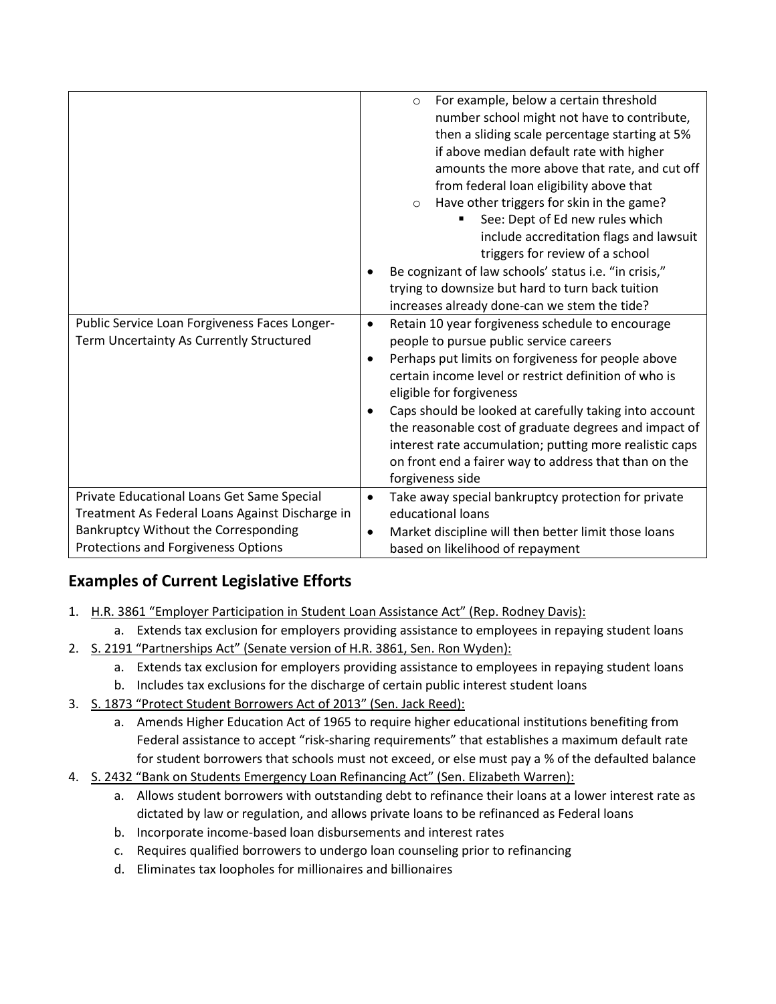| Public Service Loan Forgiveness Faces Longer-<br>Term Uncertainty As Currently Structured     | For example, below a certain threshold<br>$\circ$<br>number school might not have to contribute,<br>then a sliding scale percentage starting at 5%<br>if above median default rate with higher<br>amounts the more above that rate, and cut off<br>from federal loan eligibility above that<br>Have other triggers for skin in the game?<br>$\Omega$<br>See: Dept of Ed new rules which<br>include accreditation flags and lawsuit<br>triggers for review of a school<br>Be cognizant of law schools' status i.e. "in crisis,"<br>trying to downsize but hard to turn back tuition<br>increases already done-can we stem the tide?<br>Retain 10 year forgiveness schedule to encourage<br>$\bullet$<br>people to pursue public service careers<br>Perhaps put limits on forgiveness for people above<br>certain income level or restrict definition of who is<br>eligible for forgiveness<br>Caps should be looked at carefully taking into account<br>the reasonable cost of graduate degrees and impact of<br>interest rate accumulation; putting more realistic caps<br>on front end a fairer way to address that than on the<br>forgiveness side |
|-----------------------------------------------------------------------------------------------|------------------------------------------------------------------------------------------------------------------------------------------------------------------------------------------------------------------------------------------------------------------------------------------------------------------------------------------------------------------------------------------------------------------------------------------------------------------------------------------------------------------------------------------------------------------------------------------------------------------------------------------------------------------------------------------------------------------------------------------------------------------------------------------------------------------------------------------------------------------------------------------------------------------------------------------------------------------------------------------------------------------------------------------------------------------------------------------------------------------------------------------------------|
| Private Educational Loans Get Same Special<br>Treatment As Federal Loans Against Discharge in | Take away special bankruptcy protection for private<br>$\bullet$<br>educational loans                                                                                                                                                                                                                                                                                                                                                                                                                                                                                                                                                                                                                                                                                                                                                                                                                                                                                                                                                                                                                                                                |
| Bankruptcy Without the Corresponding<br>Protections and Forgiveness Options                   | Market discipline will then better limit those loans<br>$\bullet$<br>based on likelihood of repayment                                                                                                                                                                                                                                                                                                                                                                                                                                                                                                                                                                                                                                                                                                                                                                                                                                                                                                                                                                                                                                                |

## **Examples of Current Legislative Efforts**

- 1. H.R. 3861 "Employer Participation in Student Loan Assistance Act" (Rep. Rodney Davis):
	- a. Extends tax exclusion for employers providing assistance to employees in repaying student loans
- 2. S. 2191 "Partnerships Act" (Senate version of H.R. 3861, Sen. Ron Wyden):
	- a. Extends tax exclusion for employers providing assistance to employees in repaying student loans
	- b. Includes tax exclusions for the discharge of certain public interest student loans
- 3. S. 1873 "Protect Student Borrowers Act of 2013" (Sen. Jack Reed):
	- a. Amends Higher Education Act of 1965 to require higher educational institutions benefiting from Federal assistance to accept "risk-sharing requirements" that establishes a maximum default rate for student borrowers that schools must not exceed, or else must pay a % of the defaulted balance
- 4. S. 2432 "Bank on Students Emergency Loan Refinancing Act" (Sen. Elizabeth Warren):
	- a. Allows student borrowers with outstanding debt to refinance their loans at a lower interest rate as dictated by law or regulation, and allows private loans to be refinanced as Federal loans
	- b. Incorporate income-based loan disbursements and interest rates
	- c. Requires qualified borrowers to undergo loan counseling prior to refinancing
	- d. Eliminates tax loopholes for millionaires and billionaires